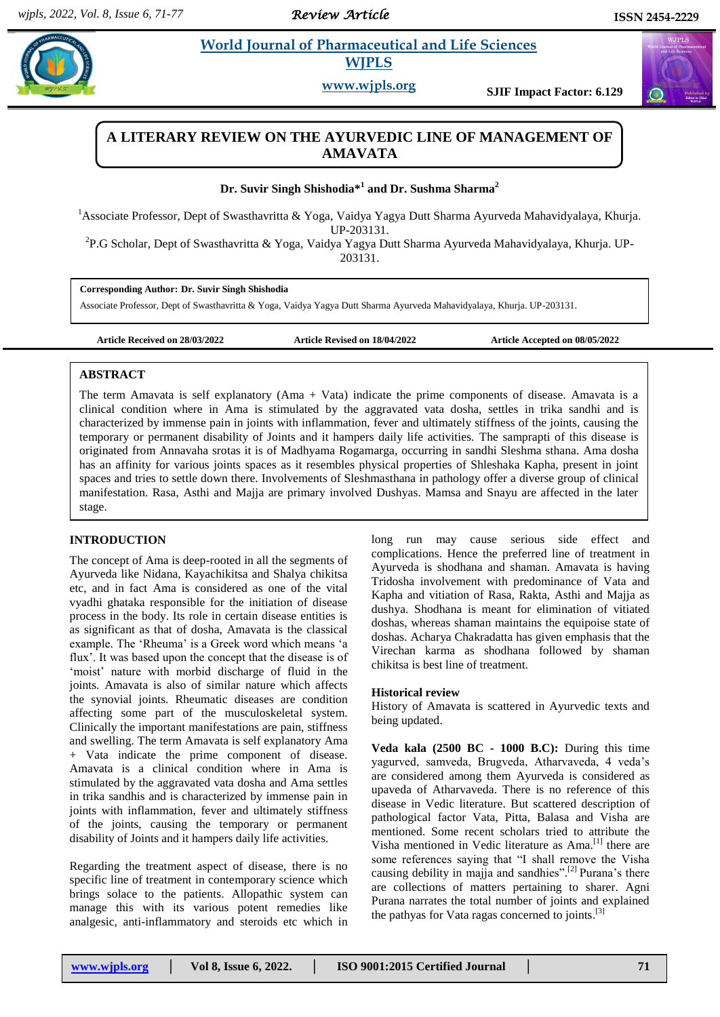*Review Article* 

 $\alpha$ 

# **Example 3 Life Sciences WJPLS**

**www.wjpls.org SJIF Impact Factor: 6.129**

# **A LITERARY REVIEW ON THE AYURVEDIC LINE OF MANAGEMENT OF AMAVATA**

## **Dr. Suvir Singh Shishodia\* 1 and Dr. Sushma Sharma<sup>2</sup>**

<sup>1</sup>Associate Professor, Dept of Swasthavritta & Yoga, Vaidya Yagya Dutt Sharma Ayurveda Mahavidyalaya, Khurja. UP-203131.

<sup>2</sup>P.G Scholar, Dept of Swasthavritta & Yoga, Vaidya Yagya Dutt Sharma Ayurveda Mahavidyalaya, Khurja. UP-203131.

#### **Corresponding Author: Dr. Suvir Singh Shishodia**

Associate Professor, Dept of Swasthavritta & Yoga, Vaidya Yagya Dutt Sharma Ayurveda Mahavidyalaya, Khurja. UP-203131.

**Article Received on 28/03/2022 Article Revised on 18/04/2022 Article Accepted on 08/05/2022**

## **ABSTRACT**

The term Amavata is self explanatory (Ama + Vata) indicate the prime components of disease. Amavata is a clinical condition where in Ama is stimulated by the aggravated vata dosha, settles in trika sandhi and is characterized by immense pain in joints with inflammation, fever and ultimately stiffness of the joints, causing the temporary or permanent disability of Joints and it hampers daily life activities. The samprapti of this disease is originated from Annavaha srotas it is of Madhyama Rogamarga, occurring in sandhi Sleshma sthana. Ama dosha has an affinity for various joints spaces as it resembles physical properties of Shleshaka Kapha, present in joint spaces and tries to settle down there. Involvements of Sleshmasthana in pathology offer a diverse group of clinical manifestation. Rasa, Asthi and Majja are primary involved Dushyas. Mamsa and Snayu are affected in the later stage.

## **INTRODUCTION**

The concept of Ama is deep-rooted in all the segments of Ayurveda like Nidana, Kayachikitsa and Shalya chikitsa etc, and in fact Ama is considered as one of the vital vyadhi ghataka responsible for the initiation of disease process in the body. Its role in certain disease entities is as significant as that of dosha, Amavata is the classical example. The 'Rheuma' is a Greek word which means 'a flux'. It was based upon the concept that the disease is of 'moist' nature with morbid discharge of fluid in the joints. Amavata is also of similar nature which affects the synovial joints. Rheumatic diseases are condition affecting some part of the musculoskeletal system. Clinically the important manifestations are pain, stiffness and swelling. The term Amavata is self explanatory Ama + Vata indicate the prime component of disease. Amavata is a clinical condition where in Ama is stimulated by the aggravated vata dosha and Ama settles in trika sandhis and is characterized by immense pain in joints with inflammation, fever and ultimately stiffness of the joints, causing the temporary or permanent disability of Joints and it hampers daily life activities.

Regarding the treatment aspect of disease, there is no specific line of treatment in contemporary science which brings solace to the patients. Allopathic system can manage this with its various potent remedies like analgesic, anti-inflammatory and steroids etc which in

long run may cause serious side effect and complications. Hence the preferred line of treatment in Ayurveda is shodhana and shaman. Amavata is having Tridosha involvement with predominance of Vata and Kapha and vitiation of Rasa, Rakta, Asthi and Majja as dushya. Shodhana is meant for elimination of vitiated doshas, whereas shaman maintains the equipoise state of doshas. Acharya Chakradatta has given emphasis that the Virechan karma as shodhana followed by shaman chikitsa is best line of treatment.

## **Historical review**

History of Amavata is scattered in Ayurvedic texts and being updated.

**Veda kala (2500 BC - 1000 B.C):** During this time yagurved, samveda, Brugveda, Atharvaveda, 4 veda"s are considered among them Ayurveda is considered as upaveda of Atharvaveda. There is no reference of this disease in Vedic literature. But scattered description of pathological factor Vata, Pitta, Balasa and Visha are mentioned. Some recent scholars tried to attribute the Visha mentioned in Vedic literature as Ama.<sup>[1]</sup> there are some references saying that "I shall remove the Visha causing debility in majja and sandhies".<sup>[2]</sup> Purana's there are collections of matters pertaining to sharer. Agni Purana narrates the total number of joints and explained the pathyas for Vata ragas concerned to joints.<sup>[3]</sup>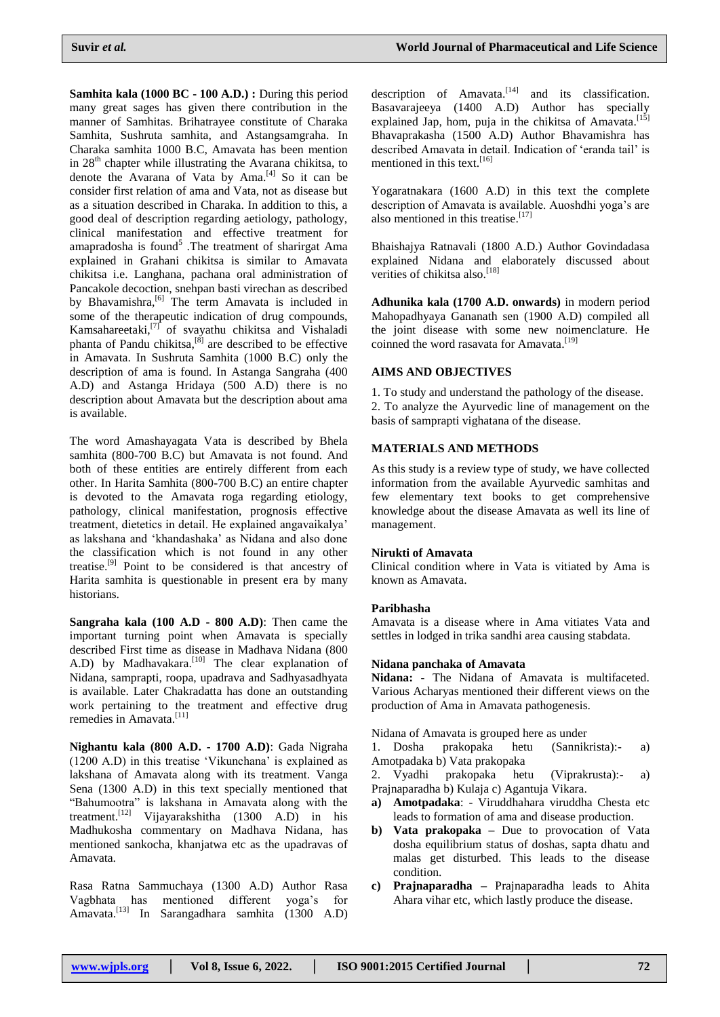**Samhita kala (1000 BC - 100 A.D.) :** During this period many great sages has given there contribution in the manner of Samhitas. Brihatrayee constitute of Charaka Samhita, Sushruta samhita, and Astangsamgraha. In Charaka samhita 1000 B.C, Amavata has been mention in  $28<sup>th</sup>$  chapter while illustrating the Avarana chikitsa, to denote the Avarana of Vata by Ama. [4] So it can be consider first relation of ama and Vata, not as disease but as a situation described in Charaka. In addition to this, a good deal of description regarding aetiology, pathology, clinical manifestation and effective treatment for amapradosha is found<sup>5</sup>. The treatment of sharirgat Ama explained in Grahani chikitsa is similar to Amavata chikitsa i.e. Langhana, pachana oral administration of Pancakole decoction, snehpan basti virechan as described by Bhavamishra,<sup>[6]</sup> The term Amavata is included in some of the therapeutic indication of drug compounds, Kamsahareetaki,<sup>[7]</sup> of svayathu chikitsa and Vishaladi phanta of Pandu chikitsa,<sup>[8]</sup> are described to be effective in Amavata. In Sushruta Samhita (1000 B.C) only the description of ama is found. In Astanga Sangraha (400 A.D) and Astanga Hridaya (500 A.D) there is no description about Amavata but the description about ama is available.

The word Amashayagata Vata is described by Bhela samhita (800-700 B.C) but Amavata is not found. And both of these entities are entirely different from each other. In Harita Samhita (800-700 B.C) an entire chapter is devoted to the Amavata roga regarding etiology, pathology, clinical manifestation, prognosis effective treatment, dietetics in detail. He explained angavaikalya" as lakshana and "khandashaka" as Nidana and also done the classification which is not found in any other treatise.<sup>[9]</sup> Point to be considered is that ancestry of Harita samhita is questionable in present era by many historians.

**Sangraha kala (100 A.D - 800 A.D)**: Then came the important turning point when Amavata is specially described First time as disease in Madhava Nidana (800 A.D) by Madhavakara.<sup>[10]</sup> The clear explanation of Nidana, samprapti, roopa, upadrava and Sadhyasadhyata is available. Later Chakradatta has done an outstanding work pertaining to the treatment and effective drug remedies in Amavata.<sup>[11]</sup>

**Nighantu kala (800 A.D. - 1700 A.D)**: Gada Nigraha (1200 A.D) in this treatise "Vikunchana" is explained as lakshana of Amavata along with its treatment. Vanga Sena (1300 A.D) in this text specially mentioned that "Bahumootra" is lakshana in Amavata along with the treatment.<sup>[12]</sup> Vijayarakshitha (1300 A.D) in his Madhukosha commentary on Madhava Nidana, has mentioned sankocha, khanjatwa etc as the upadravas of Amavata.

Rasa Ratna Sammuchaya (1300 A.D) Author Rasa Vagbhata has mentioned different yoga"s for Amavata. [13] In Sarangadhara samhita (1300 A.D) description of Amavata.<sup>[14]</sup> and its classification. Basavarajeeya (1400 A.D) Author has specially explained Jap, hom, puja in the chikitsa of Amavata.<sup>[15]</sup> Bhavaprakasha (1500 A.D) Author Bhavamishra has described Amavata in detail. Indication of "eranda tail" is mentioned in this text. [16]

Yogaratnakara (1600 A.D) in this text the complete description of Amavata is available. Auoshdhi yoga's are also mentioned in this treatise.<sup>[17]</sup>

Bhaishajya Ratnavali (1800 A.D.) Author Govindadasa explained Nidana and elaborately discussed about verities of chikitsa also.<sup>[18]</sup>

**Adhunika kala (1700 A.D. onwards)** in modern period Mahopadhyaya Gananath sen (1900 A.D) compiled all the joint disease with some new noimenclature. He coinned the word rasavata for Amavata.<sup>[19]</sup>

## **AIMS AND OBJECTIVES**

1. To study and understand the pathology of the disease. 2. To analyze the Ayurvedic line of management on the basis of samprapti vighatana of the disease.

## **MATERIALS AND METHODS**

As this study is a review type of study, we have collected information from the available Ayurvedic samhitas and few elementary text books to get comprehensive knowledge about the disease Amavata as well its line of management.

## **Nirukti of Amavata**

Clinical condition where in Vata is vitiated by Ama is known as Amavata.

## **Paribhasha**

Amavata is a disease where in Ama vitiates Vata and settles in lodged in trika sandhi area causing stabdata.

## **Nidana panchaka of Amavata**

**Nidana: -** The Nidana of Amavata is multifaceted. Various Acharyas mentioned their different views on the production of Ama in Amavata pathogenesis.

Nidana of Amavata is grouped here as under

1. Dosha prakopaka hetu (Sannikrista):- a) Amotpadaka b) Vata prakopaka

2. Vyadhi prakopaka hetu (Viprakrusta):- a) Prajnaparadha b) Kulaja c) Agantuja Vikara.

- **a) Amotpadaka**: Viruddhahara viruddha Chesta etc leads to formation of ama and disease production.
- **b) Vata prakopaka –** Due to provocation of Vata dosha equilibrium status of doshas, sapta dhatu and malas get disturbed. This leads to the disease condition.
- **c) Prajnaparadha –** Prajnaparadha leads to Ahita Ahara vihar etc, which lastly produce the disease.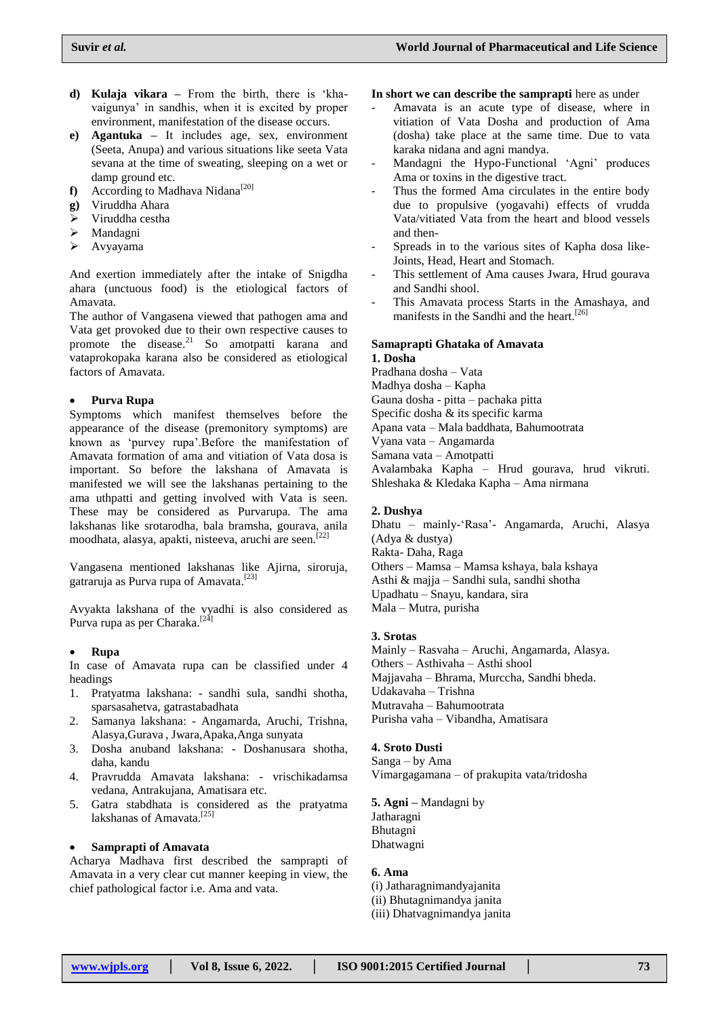- **d) Kulaja vikara –** From the birth, there is "khavaigunya" in sandhis, when it is excited by proper environment, manifestation of the disease occurs.
- **e) Agantuka –** It includes age, sex, environment (Seeta, Anupa) and various situations like seeta Vata sevana at the time of sweating, sleeping on a wet or damp ground etc.
- **f**) According to Madhava Nidana<sup>[20]</sup>
- **g)** Viruddha Ahara
- $\triangleright$  Viruddha cestha
- > Mandagni
- Avyayama

And exertion immediately after the intake of Snigdha ahara (unctuous food) is the etiological factors of Amavata.

The author of Vangasena viewed that pathogen ama and Vata get provoked due to their own respective causes to promote the disease.<sup>21</sup> So amotpatti karana and vataprokopaka karana also be considered as etiological factors of Amavata.

### **Purva Rupa**

Symptoms which manifest themselves before the appearance of the disease (premonitory symptoms) are known as "purvey rupa".Before the manifestation of Amavata formation of ama and vitiation of Vata dosa is important. So before the lakshana of Amavata is manifested we will see the lakshanas pertaining to the ama uthpatti and getting involved with Vata is seen. These may be considered as Purvarupa. The ama lakshanas like srotarodha, bala bramsha, gourava, anila moodhata, alasya, apakti, nisteeva, aruchi are seen.<sup>[22]</sup>

Vangasena mentioned lakshanas like Ajirna, siroruja, gatraruja as Purva rupa of Amavata.<sup>[23]</sup>

Avyakta lakshana of the vyadhi is also considered as Purva rupa as per Charaka.<sup>[24]</sup>

#### **Rupa**

In case of Amavata rupa can be classified under 4 headings

- 1. Pratyatma lakshana: sandhi sula, sandhi shotha, sparsasahetva, gatrastabadhata
- 2. Samanya lakshana: Angamarda, Aruchi, Trishna, Alasya,Gurava , Jwara,Apaka,Anga sunyata
- 3. Dosha anuband lakshana: Doshanusara shotha, daha, kandu
- 4. Pravrudda Amavata lakshana: vrischikadamsa vedana, Antrakujana, Amatisara etc.
- 5. Gatra stabdhata is considered as the pratyatma lakshanas of Amavata.<sup>[25]</sup>

#### **Samprapti of Amavata**

Acharya Madhava first described the samprapti of Amavata in a very clear cut manner keeping in view, the chief pathological factor i.e. Ama and vata.

**In short we can describe the samprapti** here as under

- Amavata is an acute type of disease, where in vitiation of Vata Dosha and production of Ama (dosha) take place at the same time. Due to vata karaka nidana and agni mandya.
- Mandagni the Hypo-Functional 'Agni' produces Ama or toxins in the digestive tract.
- Thus the formed Ama circulates in the entire body due to propulsive (yogavahi) effects of vrudda Vata/vitiated Vata from the heart and blood vessels and then-
- Spreads in to the various sites of Kapha dosa like-Joints, Head, Heart and Stomach.
- This settlement of Ama causes Jwara, Hrud gourava and Sandhi shool.
- This Amavata process Starts in the Amashaya, and manifests in the Sandhi and the heart. [26]

## **Samaprapti Ghataka of Amavata**

**1. Dosha** Pradhana dosha – Vata Madhya dosha – Kapha Gauna dosha - pitta – pachaka pitta Specific dosha & its specific karma Apana vata – Mala baddhata, Bahumootrata Vyana vata – Angamarda Samana vata – Amotpatti Avalambaka Kapha – Hrud gourava, hrud vikruti. Shleshaka & Kledaka Kapha – Ama nirmana

#### **2. Dushya**

Dhatu – mainly-"Rasa"- Angamarda, Aruchi, Alasya (Adya & dustya) Rakta- Daha, Raga Others – Mamsa – Mamsa kshaya, bala kshaya Asthi & majja – Sandhi sula, sandhi shotha Upadhatu – Snayu, kandara, sira Mala – Mutra, purisha

#### **3. Srotas**

Mainly – Rasvaha – Aruchi, Angamarda, Alasya. Others – Asthivaha – Asthi shool Majjavaha – Bhrama, Murccha, Sandhi bheda. Udakavaha – Trishna Mutravaha – Bahumootrata Purisha vaha – Vibandha, Amatisara

#### **4. Sroto Dusti**

Sanga – by Ama Vimargagamana – of prakupita vata/tridosha

**5. Agni –** Mandagni by **Jatharagni** Bhutagni Dhatwagni

#### **6. Ama**

(i) Jatharagnimandyajanita (ii) Bhutagnimandya janita (iii) Dhatvagnimandya janita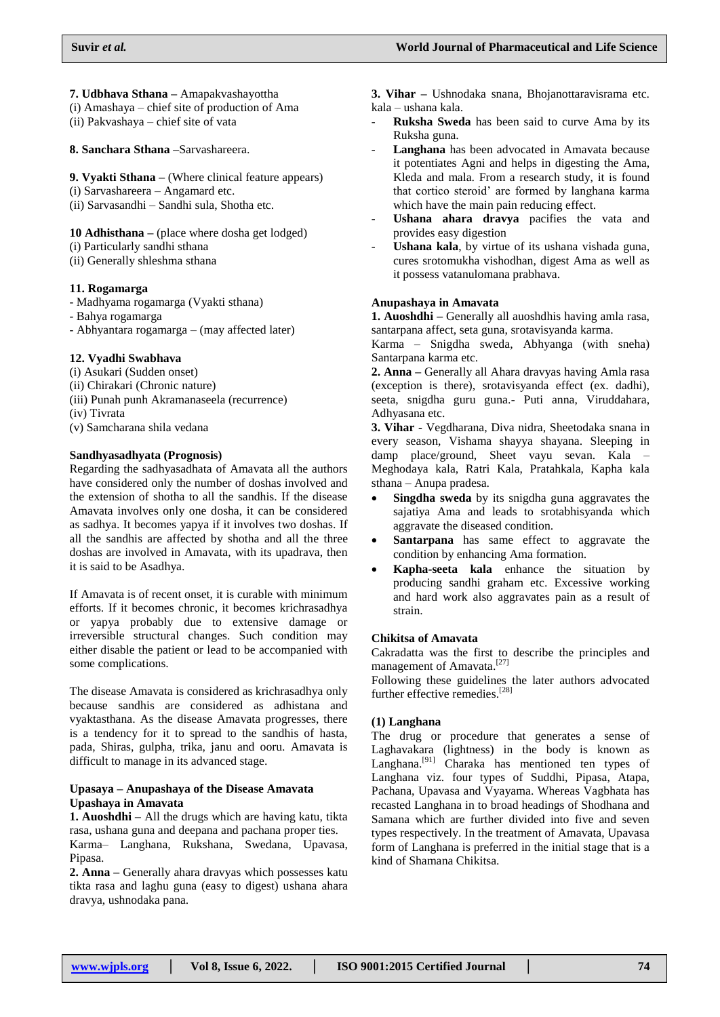**7. Udbhava Sthana –** Amapakvashayottha

(i) Amashaya – chief site of production of Ama

(ii) Pakvashaya – chief site of vata

**8. Sanchara Sthana –**Sarvashareera.

**9. Vyakti Sthana –** (Where clinical feature appears)

- (i) Sarvashareera Angamard etc.
- (ii) Sarvasandhi Sandhi sula, Shotha etc.

**10 Adhisthana –** (place where dosha get lodged)

- (i) Particularly sandhi sthana
- (ii) Generally shleshma sthana

## **11. Rogamarga**

- Madhyama rogamarga (Vyakti sthana)
- Bahya rogamarga
- Abhyantara rogamarga (may affected later)

## **12. Vyadhi Swabhava**

- (i) Asukari (Sudden onset)
- (ii) Chirakari (Chronic nature)
- (iii) Punah punh Akramanaseela (recurrence)
- (iv) Tivrata
- (v) Samcharana shila vedana

## **Sandhyasadhyata (Prognosis)**

Regarding the sadhyasadhata of Amavata all the authors have considered only the number of doshas involved and the extension of shotha to all the sandhis. If the disease Amavata involves only one dosha, it can be considered as sadhya. It becomes yapya if it involves two doshas. If all the sandhis are affected by shotha and all the three doshas are involved in Amavata, with its upadrava, then it is said to be Asadhya.

If Amavata is of recent onset, it is curable with minimum efforts. If it becomes chronic, it becomes krichrasadhya or yapya probably due to extensive damage or irreversible structural changes. Such condition may either disable the patient or lead to be accompanied with some complications.

The disease Amavata is considered as krichrasadhya only because sandhis are considered as adhistana and vyaktasthana. As the disease Amavata progresses, there is a tendency for it to spread to the sandhis of hasta, pada, Shiras, gulpha, trika, janu and ooru. Amavata is difficult to manage in its advanced stage.

#### **Upasaya – Anupashaya of the Disease Amavata Upashaya in Amavata**

**1. Auoshdhi –** All the drugs which are having katu, tikta rasa, ushana guna and deepana and pachana proper ties.

Karma– Langhana, Rukshana, Swedana, Upavasa, Pinasa.

**2. Anna –** Generally ahara dravyas which possesses katu tikta rasa and laghu guna (easy to digest) ushana ahara dravya, ushnodaka pana.

**3. Vihar –** Ushnodaka snana, Bhojanottaravisrama etc. kala – ushana kala.

- **Ruksha Sweda** has been said to curve Ama by its Ruksha guna.
- Langhana has been advocated in Amavata because it potentiates Agni and helps in digesting the Ama, Kleda and mala. From a research study, it is found that cortico steroid" are formed by langhana karma which have the main pain reducing effect.
- Ushana ahara dravya pacifies the vata and provides easy digestion
- Ushana kala, by virtue of its ushana vishada guna, cures srotomukha vishodhan, digest Ama as well as it possess vatanulomana prabhava.

## **Anupashaya in Amavata**

**1. Auoshdhi –** Generally all auoshdhis having amla rasa, santarpana affect, seta guna, srotavisyanda karma.

Karma – Snigdha sweda, Abhyanga (with sneha) Santarpana karma etc.

**2. Anna –** Generally all Ahara dravyas having Amla rasa (exception is there), srotavisyanda effect (ex. dadhi), seeta, snigdha guru guna.- Puti anna, Viruddahara, Adhyasana etc.

**3. Vihar -** Vegdharana, Diva nidra, Sheetodaka snana in every season, Vishama shayya shayana. Sleeping in damp place/ground, Sheet vayu sevan. Kala – Meghodaya kala, Ratri Kala, Pratahkala, Kapha kala sthana – Anupa pradesa.

- **Singdha sweda** by its snigdha guna aggravates the sajatiya Ama and leads to srotabhisyanda which aggravate the diseased condition.
- **Santarpana** has same effect to aggravate the condition by enhancing Ama formation.
- **Kapha-seeta kala** enhance the situation by producing sandhi graham etc. Excessive working and hard work also aggravates pain as a result of strain.

## **Chikitsa of Amavata**

Cakradatta was the first to describe the principles and management of Amavata.<sup>[27]</sup>

Following these guidelines the later authors advocated further effective remedies.<sup>[28]</sup>

## **(1) Langhana**

The drug or procedure that generates a sense of Laghavakara (lightness) in the body is known as Langhana.<sup>[91]</sup> Charaka has mentioned ten types of Langhana viz. four types of Suddhi, Pipasa, Atapa, Pachana, Upavasa and Vyayama. Whereas Vagbhata has recasted Langhana in to broad headings of Shodhana and Samana which are further divided into five and seven types respectively. In the treatment of Amavata, Upavasa form of Langhana is preferred in the initial stage that is a kind of Shamana Chikitsa.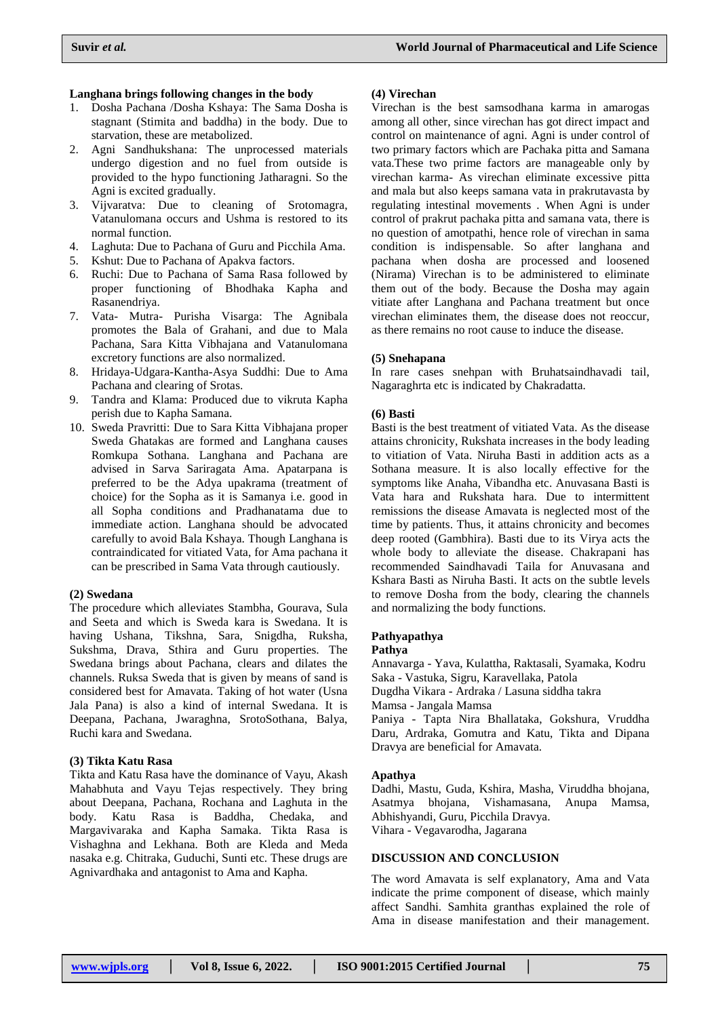### **Langhana brings following changes in the body**

- 1. Dosha Pachana /Dosha Kshaya: The Sama Dosha is stagnant (Stimita and baddha) in the body. Due to starvation, these are metabolized.
- 2. Agni Sandhukshana: The unprocessed materials undergo digestion and no fuel from outside is provided to the hypo functioning Jatharagni. So the Agni is excited gradually.
- 3. Vijvaratva: Due to cleaning of Srotomagra, Vatanulomana occurs and Ushma is restored to its normal function.
- 4. Laghuta: Due to Pachana of Guru and Picchila Ama.
- 5. Kshut: Due to Pachana of Apakva factors.
- 6. Ruchi: Due to Pachana of Sama Rasa followed by proper functioning of Bhodhaka Kapha and Rasanendriya.
- 7. Vata- Mutra- Purisha Visarga: The Agnibala promotes the Bala of Grahani, and due to Mala Pachana, Sara Kitta Vibhajana and Vatanulomana excretory functions are also normalized.
- 8. Hridaya-Udgara-Kantha-Asya Suddhi: Due to Ama Pachana and clearing of Srotas.
- 9. Tandra and Klama: Produced due to vikruta Kapha perish due to Kapha Samana.
- 10. Sweda Pravritti: Due to Sara Kitta Vibhajana proper Sweda Ghatakas are formed and Langhana causes Romkupa Sothana. Langhana and Pachana are advised in Sarva Sariragata Ama. Apatarpana is preferred to be the Adya upakrama (treatment of choice) for the Sopha as it is Samanya i.e. good in all Sopha conditions and Pradhanatama due to immediate action. Langhana should be advocated carefully to avoid Bala Kshaya. Though Langhana is contraindicated for vitiated Vata, for Ama pachana it can be prescribed in Sama Vata through cautiously.

#### **(2) Swedana**

The procedure which alleviates Stambha, Gourava, Sula and Seeta and which is Sweda kara is Swedana. It is having Ushana, Tikshna, Sara, Snigdha, Ruksha, Sukshma, Drava, Sthira and Guru properties. The Swedana brings about Pachana, clears and dilates the channels. Ruksa Sweda that is given by means of sand is considered best for Amavata. Taking of hot water (Usna Jala Pana) is also a kind of internal Swedana. It is Deepana, Pachana, Jwaraghna, SrotoSothana, Balya, Ruchi kara and Swedana.

## **(3) Tikta Katu Rasa**

Tikta and Katu Rasa have the dominance of Vayu, Akash Mahabhuta and Vayu Tejas respectively. They bring about Deepana, Pachana, Rochana and Laghuta in the body. Katu Rasa is Baddha, Chedaka, and Margavivaraka and Kapha Samaka. Tikta Rasa is Vishaghna and Lekhana. Both are Kleda and Meda nasaka e.g. Chitraka, Guduchi, Sunti etc. These drugs are Agnivardhaka and antagonist to Ama and Kapha.

#### **(4) Virechan**

Virechan is the best samsodhana karma in amarogas among all other, since virechan has got direct impact and control on maintenance of agni. Agni is under control of two primary factors which are Pachaka pitta and Samana vata.These two prime factors are manageable only by virechan karma- As virechan eliminate excessive pitta and mala but also keeps samana vata in prakrutavasta by regulating intestinal movements . When Agni is under control of prakrut pachaka pitta and samana vata, there is no question of amotpathi, hence role of virechan in sama condition is indispensable. So after langhana and pachana when dosha are processed and loosened (Nirama) Virechan is to be administered to eliminate them out of the body. Because the Dosha may again vitiate after Langhana and Pachana treatment but once virechan eliminates them, the disease does not reoccur, as there remains no root cause to induce the disease.

#### **(5) Snehapana**

In rare cases snehpan with Bruhatsaindhavadi tail, Nagaraghrta etc is indicated by Chakradatta.

### **(6) Basti**

Basti is the best treatment of vitiated Vata. As the disease attains chronicity, Rukshata increases in the body leading to vitiation of Vata. Niruha Basti in addition acts as a Sothana measure. It is also locally effective for the symptoms like Anaha, Vibandha etc. Anuvasana Basti is Vata hara and Rukshata hara. Due to intermittent remissions the disease Amavata is neglected most of the time by patients. Thus, it attains chronicity and becomes deep rooted (Gambhira). Basti due to its Virya acts the whole body to alleviate the disease. Chakrapani has recommended Saindhavadi Taila for Anuvasana and Kshara Basti as Niruha Basti. It acts on the subtle levels to remove Dosha from the body, clearing the channels and normalizing the body functions.

## **Pathyapathya**

**Pathya**

Annavarga - Yava, Kulattha, Raktasali, Syamaka, Kodru Saka - Vastuka, Sigru, Karavellaka, Patola Dugdha Vikara - Ardraka / Lasuna siddha takra Mamsa - Jangala Mamsa Paniya - Tapta Nira Bhallataka, Gokshura, Vruddha Daru, Ardraka, Gomutra and Katu, Tikta and Dipana

#### **Apathya**

Dadhi, Mastu, Guda, Kshira, Masha, Viruddha bhojana, Asatmya bhojana, Vishamasana, Anupa Mamsa, Abhishyandi, Guru, Picchila Dravya. Vihara - Vegavarodha, Jagarana

### **DISCUSSION AND CONCLUSION**

Dravya are beneficial for Amavata.

The word Amavata is self explanatory, Ama and Vata indicate the prime component of disease, which mainly affect Sandhi. Samhita granthas explained the role of Ama in disease manifestation and their management.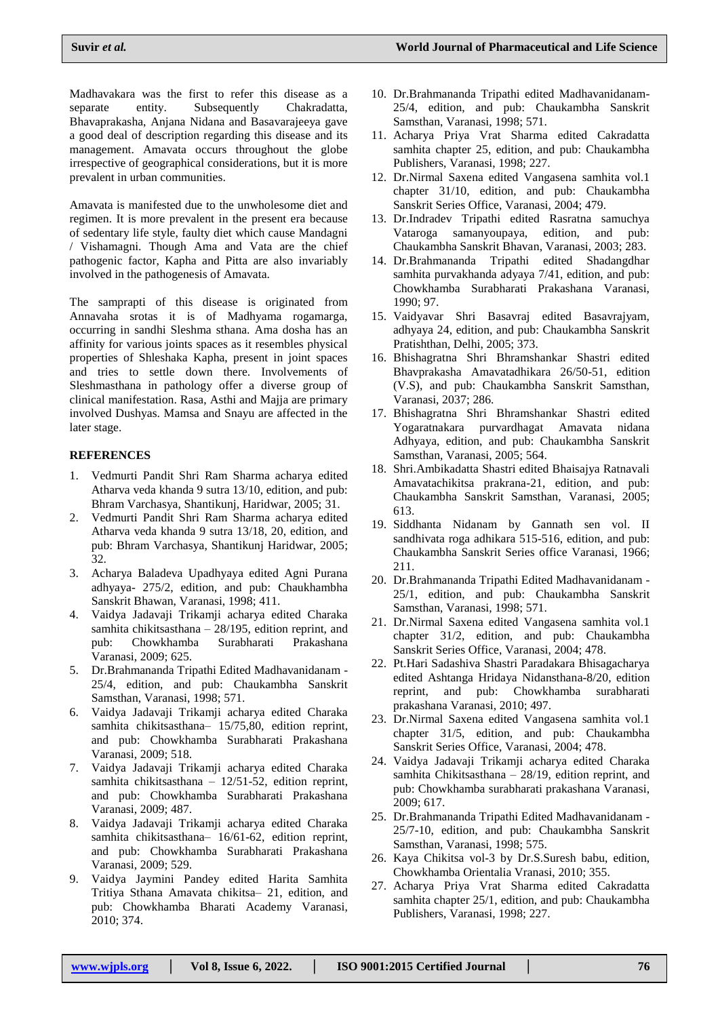Madhavakara was the first to refer this disease as a separate entity. Subsequently Chakradatta, Bhavaprakasha, Anjana Nidana and Basavarajeeya gave a good deal of description regarding this disease and its management. Amavata occurs throughout the globe irrespective of geographical considerations, but it is more prevalent in urban communities.

Amavata is manifested due to the unwholesome diet and regimen. It is more prevalent in the present era because of sedentary life style, faulty diet which cause Mandagni / Vishamagni. Though Ama and Vata are the chief pathogenic factor, Kapha and Pitta are also invariably involved in the pathogenesis of Amavata.

The samprapti of this disease is originated from Annavaha srotas it is of Madhyama rogamarga, occurring in sandhi Sleshma sthana. Ama dosha has an affinity for various joints spaces as it resembles physical properties of Shleshaka Kapha, present in joint spaces and tries to settle down there. Involvements of Sleshmasthana in pathology offer a diverse group of clinical manifestation. Rasa, Asthi and Majja are primary involved Dushyas. Mamsa and Snayu are affected in the later stage.

## **REFERENCES**

- 1. Vedmurti Pandit Shri Ram Sharma acharya edited Atharva veda khanda 9 sutra 13/10, edition, and pub: Bhram Varchasya, Shantikunj, Haridwar, 2005; 31.
- 2. Vedmurti Pandit Shri Ram Sharma acharya edited Atharva veda khanda 9 sutra 13/18, 20, edition, and pub: Bhram Varchasya, Shantikunj Haridwar, 2005; 32.
- 3. Acharya Baladeva Upadhyaya edited Agni Purana adhyaya- 275/2, edition, and pub: Chaukhambha Sanskrit Bhawan, Varanasi, 1998; 411.
- 4. Vaidya Jadavaji Trikamji acharya edited Charaka samhita chikitsasthana – 28/195, edition reprint, and pub: Chowkhamba Surabharati Prakashana Varanasi, 2009; 625.
- 5. Dr.Brahmananda Tripathi Edited Madhavanidanam 25/4, edition, and pub: Chaukambha Sanskrit Samsthan, Varanasi, 1998; 571.
- 6. Vaidya Jadavaji Trikamji acharya edited Charaka samhita chikitsasthana– 15/75,80, edition reprint, and pub: Chowkhamba Surabharati Prakashana Varanasi, 2009; 518.
- 7. Vaidya Jadavaji Trikamji acharya edited Charaka samhita chikitsasthana – 12/51-52, edition reprint, and pub: Chowkhamba Surabharati Prakashana Varanasi, 2009; 487.
- 8. Vaidya Jadavaji Trikamji acharya edited Charaka samhita chikitsasthana– 16/61-62, edition reprint, and pub: Chowkhamba Surabharati Prakashana Varanasi, 2009; 529.
- 9. Vaidya Jaymini Pandey edited Harita Samhita Tritiya Sthana Amavata chikitsa– 21, edition, and pub: Chowkhamba Bharati Academy Varanasi, 2010; 374.
- 10. Dr.Brahmananda Tripathi edited Madhavanidanam-25/4, edition, and pub: Chaukambha Sanskrit Samsthan, Varanasi, 1998; 571.
- 11. Acharya Priya Vrat Sharma edited Cakradatta samhita chapter 25, edition, and pub: Chaukambha Publishers, Varanasi, 1998; 227.
- 12. Dr.Nirmal Saxena edited Vangasena samhita vol.1 chapter 31/10, edition, and pub: Chaukambha Sanskrit Series Office, Varanasi, 2004; 479.
- 13. Dr.Indradev Tripathi edited Rasratna samuchya Vataroga samanyoupaya, edition, and pub: Chaukambha Sanskrit Bhavan, Varanasi, 2003; 283.
- 14. Dr.Brahmananda Tripathi edited Shadangdhar samhita purvakhanda adyaya 7/41, edition, and pub: Chowkhamba Surabharati Prakashana Varanasi, 1990; 97.
- 15. Vaidyavar Shri Basavraj edited Basavrajyam, adhyaya 24, edition, and pub: Chaukambha Sanskrit Pratishthan, Delhi, 2005; 373.
- 16. Bhishagratna Shri Bhramshankar Shastri edited Bhavprakasha Amavatadhikara 26/50-51, edition (V.S), and pub: Chaukambha Sanskrit Samsthan, Varanasi, 2037; 286.
- 17. Bhishagratna Shri Bhramshankar Shastri edited Yogaratnakara purvardhagat Amavata nidana Adhyaya, edition, and pub: Chaukambha Sanskrit Samsthan, Varanasi, 2005; 564.
- 18. Shri.Ambikadatta Shastri edited Bhaisajya Ratnavali Amavatachikitsa prakrana-21, edition, and pub: Chaukambha Sanskrit Samsthan, Varanasi, 2005; 613.
- 19. Siddhanta Nidanam by Gannath sen vol. II sandhivata roga adhikara 515-516, edition, and pub: Chaukambha Sanskrit Series office Varanasi, 1966; 211.
- 20. Dr.Brahmananda Tripathi Edited Madhavanidanam 25/1, edition, and pub: Chaukambha Sanskrit Samsthan, Varanasi, 1998; 571.
- 21. Dr.Nirmal Saxena edited Vangasena samhita vol.1 chapter 31/2, edition, and pub: Chaukambha Sanskrit Series Office, Varanasi, 2004; 478.
- 22. Pt.Hari Sadashiva Shastri Paradakara Bhisagacharya edited Ashtanga Hridaya Nidansthana-8/20, edition reprint, and pub: Chowkhamba surabharati prakashana Varanasi, 2010; 497.
- 23. Dr.Nirmal Saxena edited Vangasena samhita vol.1 chapter 31/5, edition, and pub: Chaukambha Sanskrit Series Office, Varanasi, 2004; 478.
- 24. Vaidya Jadavaji Trikamji acharya edited Charaka samhita Chikitsasthana – 28/19, edition reprint, and pub: Chowkhamba surabharati prakashana Varanasi, 2009; 617.
- 25. Dr.Brahmananda Tripathi Edited Madhavanidanam 25/7-10, edition, and pub: Chaukambha Sanskrit Samsthan, Varanasi, 1998; 575.
- 26. Kaya Chikitsa vol-3 by Dr.S.Suresh babu, edition, Chowkhamba Orientalia Vranasi, 2010; 355.
- 27. Acharya Priya Vrat Sharma edited Cakradatta samhita chapter 25/1, edition, and pub: Chaukambha Publishers, Varanasi, 1998; 227.